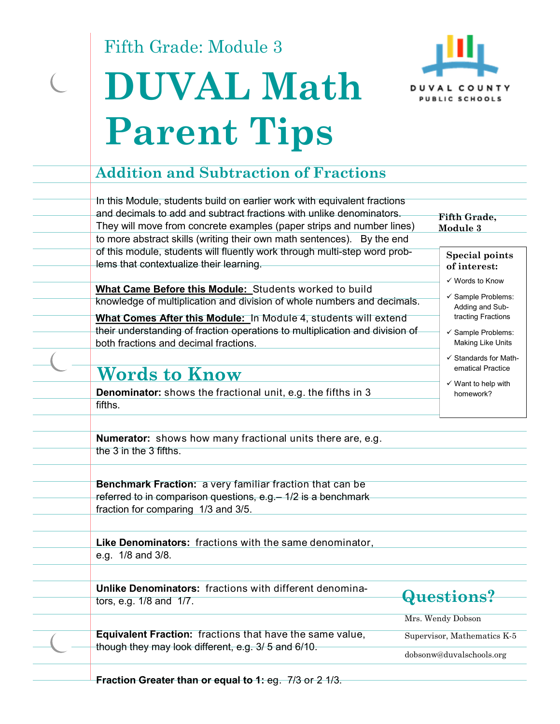Fifth Grade: Module 3

# **DUVAL Math Parent Tips**



#### **Addition and Subtraction of Fractions**

In this Module, students build on earlier work with equivalent fractions and decimals to add and subtract fractions with unlike denominators. They will move from concrete examples (paper strips and number lines) to more abstract skills (writing their own math sentences). By the end of this module, students will fluently work through multi-step word problems that contextualize their learning. **Fifth Grade, Module 3 Special points of interest:**  Words to Know  $\checkmark$  Sample Problems: Adding and Subtracting Fractions  $\checkmark$  Sample Problems: Making Like Units  $\checkmark$  Standards for Math-**What Came Before this Module:** Students worked to build knowledge of multiplication and division of whole numbers and decimals. **What Comes After this Module:** In Module 4, students will extend their understanding of fraction operations to multiplication and division of both fractions and decimal fractions.

## **Words to Know**

**Denominator:** shows the fractional unit, e.g. the fifths in 3 fifths.

- ematical Practice
- $\checkmark$  Want to help with homework?

**Numerator:** shows how many fractional units there are, e.g. the 3 in the 3 fifths.

**Benchmark Fraction:** a very familiar fraction that can be referred to in comparison questions, e.g.– 1/2 is a benchmark fraction for comparing 1/3 and 3/5.

**Like Denominators:** fractions with the same denominator, e.g. 1/8 and 3/8.

**Unlike Denominators:** fractions with different denominators, e.g. 1/8 and 1/7.

**Questions?** 

**Equivalent Fraction:** fractions that have the same value, though they may look different, e.g. 3/ 5 and 6/10.

Mrs. Wendy Dobson

Supervisor, Mathematics K-5 dobsonw@duvalschools.org

**Fraction Greater than or equal to 1: eg. 7/3 or 2 1/3.**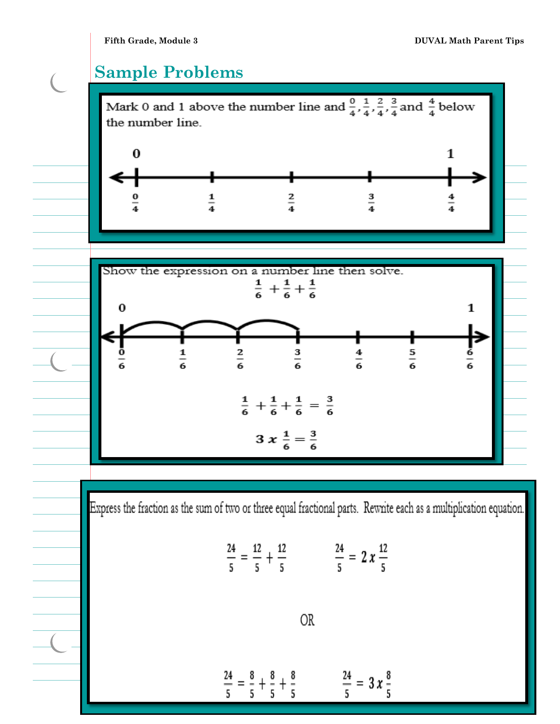$\overline{C}$ 

#### **Sample Problems**

Mark 0 and 1 above the number line and  $\frac{0}{4}$ ,  $\frac{1}{4}$ ,  $\frac{2}{4}$ ,  $\frac{3}{4}$  and  $\frac{4}{4}$  below the number line.





Express the fraction as the sum of two or three equal fractional parts. Rewrite each as a multiplication equation.

$$
\frac{24}{5} = \frac{12}{5} + \frac{12}{5} \qquad \qquad \frac{24}{5} = 2 x \frac{12}{5}
$$

 $\frac{24}{5}$  =  $\frac{8}{5}$  +  $\frac{8}{5}$  +  $\frac{8}{5}$  $\frac{24}{5}$  = 3 x  $\frac{8}{5}$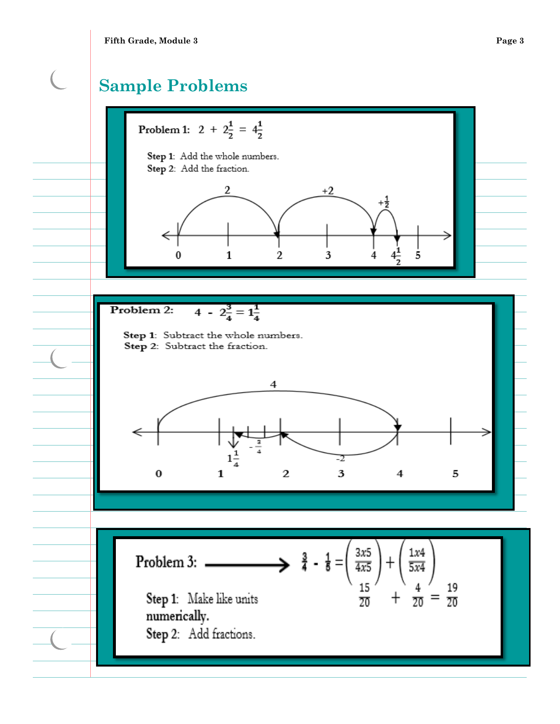(

### **Sample Problems**